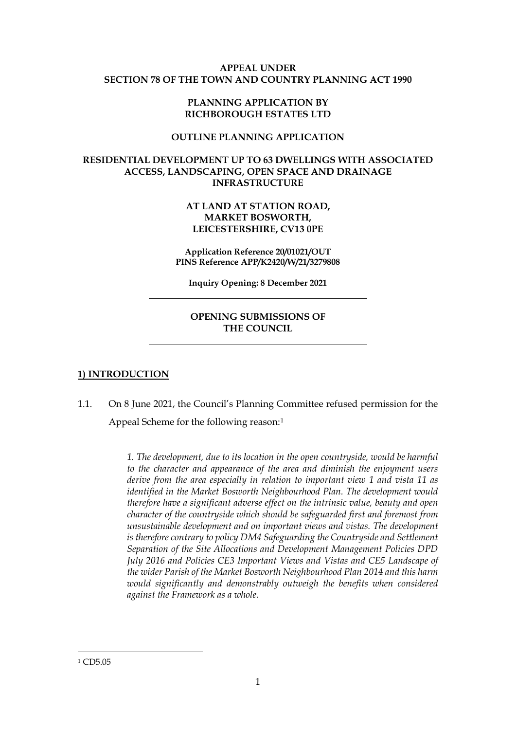#### **APPEAL UNDER SECTION 78 OF THE TOWN AND COUNTRY PLANNING ACT 1990**

### **PLANNING APPLICATION BY RICHBOROUGH ESTATES LTD**

#### **OUTLINE PLANNING APPLICATION**

### **RESIDENTIAL DEVELOPMENT UP TO 63 DWELLINGS WITH ASSOCIATED ACCESS, LANDSCAPING, OPEN SPACE AND DRAINAGE INFRASTRUCTURE**

### **AT LAND AT STATION ROAD, MARKET BOSWORTH, LEICESTERSHIRE, CV13 0PE**

**Application Reference 20/01021/OUT PINS Reference APP/K2420/W/21/3279808**

**Inquiry Opening: 8 December 2021**

# **OPENING SUBMISSIONS OF THE COUNCIL**

## **1) INTRODUCTION**

1.1. On 8 June 2021, the Council's Planning Committee refused permission for the Appeal Scheme for the following reason:[1](#page-0-0)

> **1.** The development, due to its location in the open countryside, would be harmful *to the character and appearance of the area and diminish the enjoyment users derive from the area especially in relation to important view 1 and vista 11 as identified in the Market Bosworth Neighbourhood Plan. The development would therefore have a significant adverse effect on the intrinsic value, beauty and open character of the countryside which should be safeguarded first and foremost from unsustainable development and on important views and vistas. The development*  is therefore contrary to policy DM4 Safeguarding the Countryside and Settlement *Separation of the Site Allocations and Development Management Policies DPD July 2016 and Policies CE3 Important Views and Vistas and CE5 Landscape of the wider Parish of the Market Bosworth Neighbourhood Plan 2014 and this harm would significantly and demonstrably outweigh the benefits when considered against the Framework as a whole.*

<span id="page-0-0"></span><sup>1</sup> CD5.05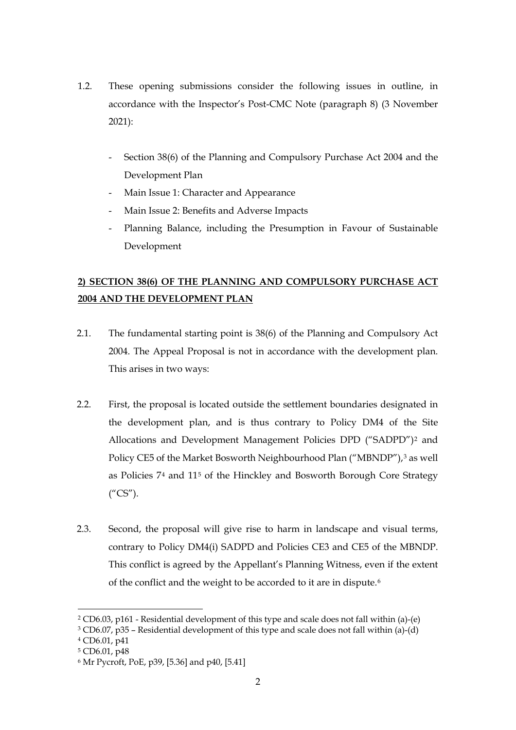- 1.2. These opening submissions consider the following issues in outline, in accordance with the Inspector's Post-CMC Note (paragraph 8) (3 November 2021):
	- Section 38(6) of the Planning and Compulsory Purchase Act 2004 and the Development Plan
	- Main Issue 1: Character and Appearance
	- Main Issue 2: Benefits and Adverse Impacts
	- Planning Balance, including the Presumption in Favour of Sustainable Development

# **2) SECTION 38(6) OF THE PLANNING AND COMPULSORY PURCHASE ACT 2004 AND THE DEVELOPMENT PLAN**

- 2.1. The fundamental starting point is 38(6) of the Planning and Compulsory Act 2004. The Appeal Proposal is not in accordance with the development plan. This arises in two ways:
- 2.2. First, the proposal is located outside the settlement boundaries designated in the development plan, and is thus contrary to Policy DM4 of the Site Allocations and Development Management Policies DPD ("SADPD")[2](#page-1-0) and Policy CE5 of the Market Bosworth Neighbourhood Plan ("MBNDP"),<sup>[3](#page-1-1)</sup> as well as Policies 7[4](#page-1-2) and 11[5](#page-1-3) of the Hinckley and Bosworth Borough Core Strategy  $(^{\prime\prime}CS^{\prime\prime}).$
- 2.3. Second, the proposal will give rise to harm in landscape and visual terms, contrary to Policy DM4(i) SADPD and Policies CE3 and CE5 of the MBNDP. This conflict is agreed by the Appellant's Planning Witness, even if the extent of the conflict and the weight to be accorded to it are in dispute.[6](#page-1-4)

<span id="page-1-0"></span><sup>2</sup> CD6.03, p161 - Residential development of this type and scale does not fall within (a)-(e)

<span id="page-1-1"></span><sup>3</sup> CD6.07, p35 – Residential development of this type and scale does not fall within (a)-(d)

<span id="page-1-2"></span><sup>4</sup> CD6.01, p41

<span id="page-1-3"></span><sup>5</sup> CD6.01, p48

<span id="page-1-4"></span><sup>6</sup> Mr Pycroft, PoE, p39, [5.36] and p40, [5.41]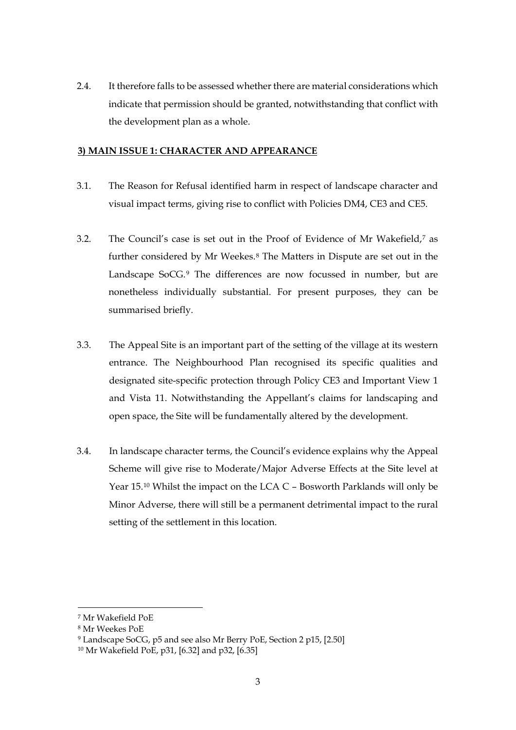2.4. It therefore falls to be assessed whether there are material considerations which indicate that permission should be granted, notwithstanding that conflict with the development plan as a whole.

### **3) MAIN ISSUE 1: CHARACTER AND APPEARANCE**

- 3.1. The Reason for Refusal identified harm in respect of landscape character and visual impact terms, giving rise to conflict with Policies DM4, CE3 and CE5.
- 3.2. The Council's case is set out in the Proof of Evidence of Mr Wakefield,[7](#page-2-0) as further considered by Mr Weekes.[8](#page-2-1) The Matters in Dispute are set out in the Landscape SoCG.<sup>[9](#page-2-2)</sup> The differences are now focussed in number, but are nonetheless individually substantial. For present purposes, they can be summarised briefly.
- 3.3. The Appeal Site is an important part of the setting of the village at its western entrance. The Neighbourhood Plan recognised its specific qualities and designated site-specific protection through Policy CE3 and Important View 1 and Vista 11. Notwithstanding the Appellant's claims for landscaping and open space, the Site will be fundamentally altered by the development.
- 3.4. In landscape character terms, the Council's evidence explains why the Appeal Scheme will give rise to Moderate/Major Adverse Effects at the Site level at Year 15.[10](#page-2-3) Whilst the impact on the LCA C – Bosworth Parklands will only be Minor Adverse, there will still be a permanent detrimental impact to the rural setting of the settlement in this location.

<span id="page-2-0"></span><sup>7</sup> Mr Wakefield PoE

<span id="page-2-1"></span><sup>8</sup> Mr Weekes PoE

<span id="page-2-2"></span><sup>9</sup> Landscape SoCG, p5 and see also Mr Berry PoE, Section 2 p15, [2.50]

<span id="page-2-3"></span><sup>10</sup> Mr Wakefield PoE, p31, [6.32] and p32, [6.35]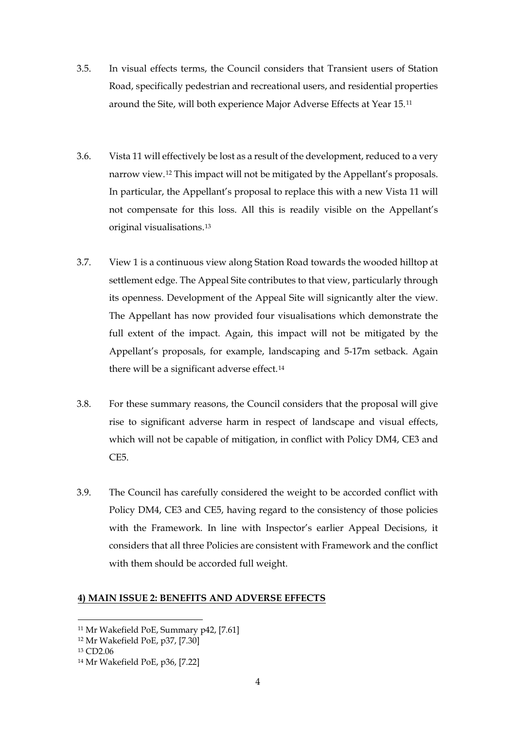- 3.5. In visual effects terms, the Council considers that Transient users of Station Road, specifically pedestrian and recreational users, and residential properties around the Site, will both experience Major Adverse Effects at Year 15.[11](#page-3-0)
- 3.6. Vista 11 will effectively be lost as a result of the development, reduced to a very narrow view.[12](#page-3-1) This impact will not be mitigated by the Appellant's proposals. In particular, the Appellant's proposal to replace this with a new Vista 11 will not compensate for this loss. All this is readily visible on the Appellant's original visualisations.[13](#page-3-2)
- 3.7. View 1 is a continuous view along Station Road towards the wooded hilltop at settlement edge. The Appeal Site contributes to that view, particularly through its openness. Development of the Appeal Site will signicantly alter the view. The Appellant has now provided four visualisations which demonstrate the full extent of the impact. Again, this impact will not be mitigated by the Appellant's proposals, for example, landscaping and 5-17m setback. Again there will be a significant adverse effect.<sup>[14](#page-3-3)</sup>
- 3.8. For these summary reasons, the Council considers that the proposal will give rise to significant adverse harm in respect of landscape and visual effects, which will not be capable of mitigation, in conflict with Policy DM4, CE3 and CE5.
- 3.9. The Council has carefully considered the weight to be accorded conflict with Policy DM4, CE3 and CE5, having regard to the consistency of those policies with the Framework. In line with Inspector's earlier Appeal Decisions, it considers that all three Policies are consistent with Framework and the conflict with them should be accorded full weight.

#### **4) MAIN ISSUE 2: BENEFITS AND ADVERSE EFFECTS**

<span id="page-3-0"></span><sup>11</sup> Mr Wakefield PoE, Summary p42, [7.61]

<span id="page-3-1"></span><sup>12</sup> Mr Wakefield PoE, p37, [7.30]

<span id="page-3-2"></span><sup>13</sup> CD2.06

<span id="page-3-3"></span><sup>14</sup> Mr Wakefield PoE, p36, [7.22]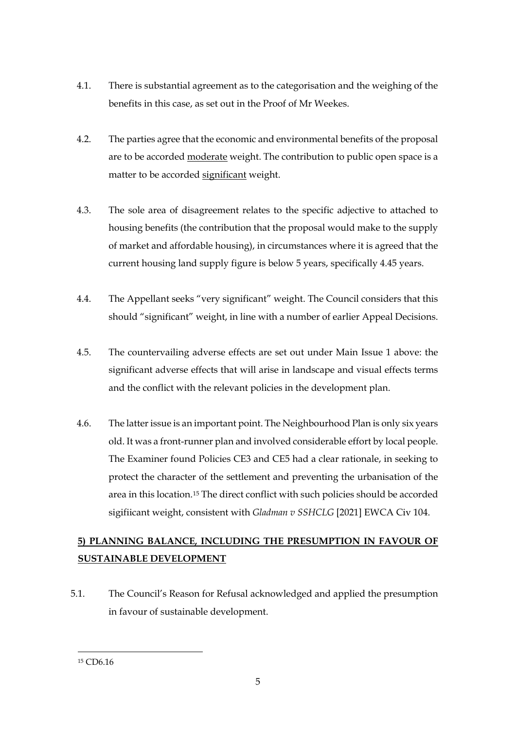- 4.1. There is substantial agreement as to the categorisation and the weighing of the benefits in this case, as set out in the Proof of Mr Weekes.
- 4.2. The parties agree that the economic and environmental benefits of the proposal are to be accorded moderate weight. The contribution to public open space is a matter to be accorded significant weight.
- 4.3. The sole area of disagreement relates to the specific adjective to attached to housing benefits (the contribution that the proposal would make to the supply of market and affordable housing), in circumstances where it is agreed that the current housing land supply figure is below 5 years, specifically 4.45 years.
- 4.4. The Appellant seeks "very significant" weight. The Council considers that this should "significant" weight, in line with a number of earlier Appeal Decisions.
- 4.5. The countervailing adverse effects are set out under Main Issue 1 above: the significant adverse effects that will arise in landscape and visual effects terms and the conflict with the relevant policies in the development plan.
- 4.6. The latter issue is an important point. The Neighbourhood Plan is only six years old. It was a front-runner plan and involved considerable effort by local people. The Examiner found Policies CE3 and CE5 had a clear rationale, in seeking to protect the character of the settlement and preventing the urbanisation of the area in this location.[15](#page-4-0) The direct conflict with such policies should be accorded sigifiicant weight, consistent with *Gladman v SSHCLG* [2021] EWCA Civ 104.

# **5) PLANNING BALANCE, INCLUDING THE PRESUMPTION IN FAVOUR OF SUSTAINABLE DEVELOPMENT**

5.1. The Council's Reason for Refusal acknowledged and applied the presumption in favour of sustainable development.

<span id="page-4-0"></span><sup>15</sup> CD6.16